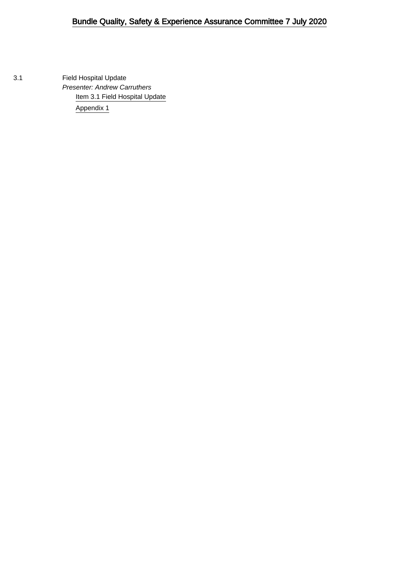3.1 Field Hospital Update Presenter: Andrew Carruthers [Item 3.1 Field Hospital Update](#page-1-0) [Appendix 1](#page-9-0)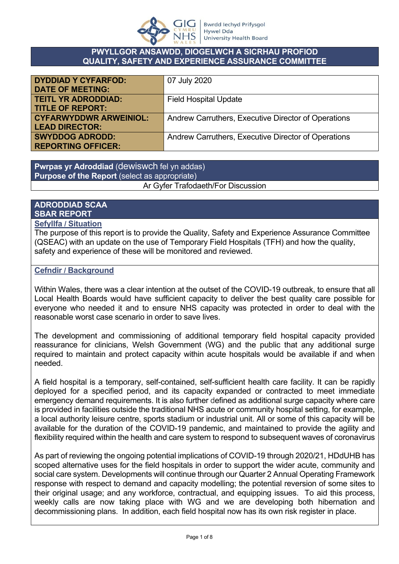

#### **PWYLLGOR ANSAWDD, DIOGELWCH A SICRHAU PROFIOD QUALITY, SAFETY AND EXPERIENCE ASSURANCE COMMITTEE**

<span id="page-1-0"></span>

| <b>DYDDIAD Y CYFARFOD:</b>    | 07 July 2020                                        |
|-------------------------------|-----------------------------------------------------|
| <b>DATE OF MEETING:</b>       |                                                     |
| <b>TEITL YR ADRODDIAD:</b>    | <b>Field Hospital Update</b>                        |
| <b>TITLE OF REPORT:</b>       |                                                     |
| <b>CYFARWYDDWR ARWEINIOL:</b> | Andrew Carruthers, Executive Director of Operations |
| <b>LEAD DIRECTOR:</b>         |                                                     |
| <b>SWYDDOG ADRODD:</b>        | Andrew Carruthers, Executive Director of Operations |
| <b>REPORTING OFFICER:</b>     |                                                     |

**Pwrpas yr Adroddiad** (dewiswch fel yn addas) **Purpose of the Report** (select as appropriate) Ar Gyfer Trafodaeth/For Discussion

#### **ADRODDIAD SCAA SBAR REPORT**

#### **Sefyllfa / Situation**

The purpose of this report is to provide the Quality, Safety and Experience Assurance Committee (QSEAC) with an update on the use of Temporary Field Hospitals (TFH) and how the quality, safety and experience of these will be monitored and reviewed.

#### **Cefndir / Background**

Within Wales, there was a clear intention at the outset of the COVID-19 outbreak, to ensure that all Local Health Boards would have sufficient capacity to deliver the best quality care possible for everyone who needed it and to ensure NHS capacity was protected in order to deal with the reasonable worst case scenario in order to save lives.

The development and commissioning of additional temporary field hospital capacity provided reassurance for clinicians, Welsh Government (WG) and the public that any additional surge required to maintain and protect capacity within acute hospitals would be available if and when needed.

A field hospital is a temporary, self-contained, self-sufficient health care facility. It can be rapidly deployed for a specified period, and its capacity expanded or contracted to meet immediate emergency demand requirements. It is also further defined as additional surge capacity where care is provided in facilities outside the traditional NHS acute or community hospital setting, for example, a local authority leisure centre, sports stadium or industrial unit. All or some of this capacity will be available for the duration of the COVID-19 pandemic, and maintained to provide the agility and flexibility required within the health and care system to respond to subsequent waves of coronavirus

As part of reviewing the ongoing potential implications of COVID-19 through 2020/21, HDdUHB has scoped alternative uses for the field hospitals in order to support the wider acute, community and social care system. Developments will continue through our Quarter 2 Annual Operating Framework response with respect to demand and capacity modelling; the potential reversion of some sites to their original usage; and any workforce, contractual, and equipping issues. To aid this process, weekly calls are now taking place with WG and we are developing both hibernation and decommissioning plans. In addition, each field hospital now has its own risk register in place.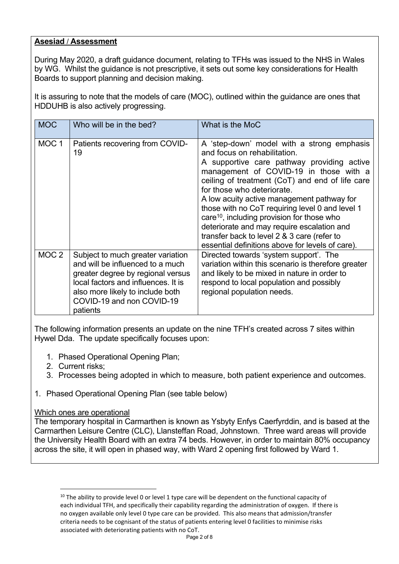#### **Asesiad** / **Assessment**

During May 2020, a draft guidance document, relating to TFHs was issued to the NHS in Wales by WG. Whilst the guidance is not prescriptive, it sets out some key considerations for Health Boards to support planning and decision making.

It is assuring to note that the models of care (MOC), outlined within the guidance are ones that HDDUHB is also actively progressing.

| <b>MOC</b>       | Who will be in the bed?                                                                                                                                                                                                        | What is the MoC                                                                                                                                                                                                                                                                                                                                                                                                                                                                                                                                                 |
|------------------|--------------------------------------------------------------------------------------------------------------------------------------------------------------------------------------------------------------------------------|-----------------------------------------------------------------------------------------------------------------------------------------------------------------------------------------------------------------------------------------------------------------------------------------------------------------------------------------------------------------------------------------------------------------------------------------------------------------------------------------------------------------------------------------------------------------|
| MOC <sub>1</sub> | Patients recovering from COVID-<br>19                                                                                                                                                                                          | A 'step-down' model with a strong emphasis<br>and focus on rehabilitation.<br>A supportive care pathway providing active<br>management of COVID-19 in those with a<br>ceiling of treatment (CoT) and end of life care<br>for those who deteriorate.<br>A low acuity active management pathway for<br>those with no CoT requiring level 0 and level 1<br>care <sup>10</sup> , including provision for those who<br>deteriorate and may require escalation and<br>transfer back to level 2 & 3 care (refer to<br>essential definitions above for levels of care). |
| MOC <sub>2</sub> | Subject to much greater variation<br>and will be influenced to a much<br>greater degree by regional versus<br>local factors and influences. It is<br>also more likely to include both<br>COVID-19 and non COVID-19<br>patients | Directed towards 'system support'. The<br>variation within this scenario is therefore greater<br>and likely to be mixed in nature in order to<br>respond to local population and possibly<br>regional population needs.                                                                                                                                                                                                                                                                                                                                         |

The following information presents an update on the nine TFH's created across 7 sites within Hywel Dda. The update specifically focuses upon:

- 1. Phased Operational Opening Plan;
- 2. Current risks;
- 3. Processes being adopted in which to measure, both patient experience and outcomes.
- 1. Phased Operational Opening Plan (see table below)

#### Which ones are operational

The temporary hospital in Carmarthen is known as Ysbyty Enfys Caerfyrddin, and is based at the Carmarthen Leisure Centre (CLC), Llansteffan Road, Johnstown. Three ward areas will provide the University Health Board with an extra 74 beds. However, in order to maintain 80% occupancy across the site, it will open in phased way, with Ward 2 opening first followed by Ward 1.

<sup>&</sup>lt;sup>10</sup> The ability to provide level 0 or level 1 type care will be dependent on the functional capacity of each individual TFH, and specifically their capability regarding the administration of oxygen. If there is no oxygen available only level 0 type care can be provided. This also means that admission/transfer criteria needs to be cognisant of the status of patients entering level 0 facilities to minimise risks associated with deteriorating patients with no CoT.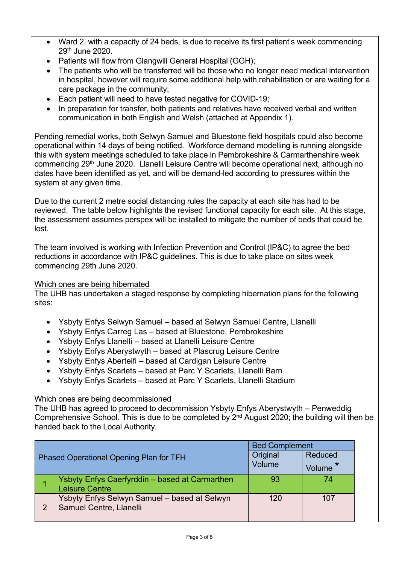- Ward 2, with a capacity of 24 beds, is due to receive its first patient's week commencing 29th June 2020.
- Patients will flow from Glangwili General Hospital (GGH);
- The patients who will be transferred will be those who no longer need medical intervention in hospital, however will require some additional help with rehabilitation or are waiting for a care package in the community;
- Each patient will need to have tested negative for COVID-19;
- In preparation for transfer, both patients and relatives have received verbal and written communication in both English and Welsh (attached at Appendix 1).

Pending remedial works, both Selwyn Samuel and Bluestone field hospitals could also become operational within 14 days of being notified. Workforce demand modelling is running alongside this with system meetings scheduled to take place in Pembrokeshire & Carmarthenshire week commencing 29th June 2020. Llanelli Leisure Centre will become operational next, although no dates have been identified as yet, and will be demand-led according to pressures within the system at any given time.

Due to the current 2 metre social distancing rules the capacity at each site has had to be reviewed. The table below highlights the revised functional capacity for each site. At this stage, the assessment assumes perspex will be installed to mitigate the number of beds that could be lost.

The team involved is working with Infection Prevention and Control (IP&C) to agree the bed reductions in accordance with IP&C guidelines. This is due to take place on sites week commencing 29th June 2020.

#### Which ones are being hibernated

The UHB has undertaken a staged response by completing hibernation plans for the following sites:

- Ysbyty Enfys Selwyn Samuel based at Selwyn Samuel Centre, Llanelli
- Ysbyty Enfys Carreg Las based at Bluestone, Pembrokeshire
- Ysbyty Enfys Llanelli based at Llanelli Leisure Centre
- Ysbyty Enfys Aberystwyth based at Plascrug Leisure Centre
- Ysbyty Enfys Aberteifi based at Cardigan Leisure Centre
- Ysbyty Enfys Scarlets based at Parc Y Scarlets, Llanelli Barn
- Ysbyty Enfys Scarlets based at Parc Y Scarlets, Llanelli Stadium

#### Which ones are being decommissioned

The UHB has agreed to proceed to decommission Ysbyty Enfys Aberystwyth – Penweddig Comprehensive School. This is due to be completed by 2<sup>nd</sup> August 2020; the building will then be handed back to the Local Authority.

|   |                                                                         | <b>Bed Complement</b> |                   |
|---|-------------------------------------------------------------------------|-----------------------|-------------------|
|   | <b>Phased Operational Opening Plan for TFH</b>                          | Original<br>Volume    | Reduced<br>Volume |
|   | Ysbyty Enfys Caerfyrddin - based at Carmarthen<br><b>Leisure Centre</b> | 93                    | 74                |
| 2 | Ysbyty Enfys Selwyn Samuel - based at Selwyn<br>Samuel Centre, Llanelli | 120                   | 107               |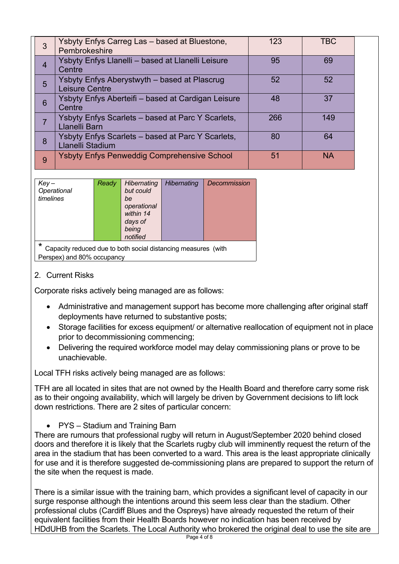| 3              | Ysbyty Enfys Carreg Las - based at Bluestone,<br>Pembrokeshire        | 123 | <b>TBC</b> |  |
|----------------|-----------------------------------------------------------------------|-----|------------|--|
| $\overline{4}$ | Ysbyty Enfys Llanelli - based at Llanelli Leisure<br>Centre           | 95  | 69         |  |
| 5              | Ysbyty Enfys Aberystwyth – based at Plascrug<br><b>Leisure Centre</b> | 52  | 52         |  |
| 6              | Ysbyty Enfys Aberteifi - based at Cardigan Leisure<br>Centre          | 48  | 37         |  |
|                | Ysbyty Enfys Scarlets - based at Parc Y Scarlets,<br>Llanelli Barn    | 266 | 149        |  |
| 8              | Ysbyty Enfys Scarlets – based at Parc Y Scarlets,<br>Llanelli Stadium | 80  | 64         |  |
| 9              | <b>Ysbyty Enfys Penweddig Comprehensive School</b>                    | 51  | <b>NA</b>  |  |

| $Key-$                                                             | Ready | Hibernating | <b>Hibernating</b> | Decommission |
|--------------------------------------------------------------------|-------|-------------|--------------------|--------------|
|                                                                    |       |             |                    |              |
| Operational                                                        |       | but could   |                    |              |
| timelines                                                          |       | be          |                    |              |
|                                                                    |       | operational |                    |              |
|                                                                    |       | within 14   |                    |              |
|                                                                    |       | days of     |                    |              |
|                                                                    |       | being       |                    |              |
|                                                                    |       | notified    |                    |              |
| *<br>Capacity reduced due to both social distancing measures (with |       |             |                    |              |
|                                                                    |       |             |                    |              |

Perspex) and 80% occupancy

#### 2. Current Risks

Corporate risks actively being managed are as follows:

- Administrative and management support has become more challenging after original staff deployments have returned to substantive posts;
- Storage facilities for excess equipment/ or alternative reallocation of equipment not in place prior to decommissioning commencing;
- Delivering the required workforce model may delay commissioning plans or prove to be unachievable.

Local TFH risks actively being managed are as follows:

TFH are all located in sites that are not owned by the Health Board and therefore carry some risk as to their ongoing availability, which will largely be driven by Government decisions to lift lock down restrictions. There are 2 sites of particular concern:

• PYS – Stadium and Training Barn

There are rumours that professional rugby will return in August/September 2020 behind closed doors and therefore it is likely that the Scarlets rugby club will imminently request the return of the area in the stadium that has been converted to a ward. This area is the least appropriate clinically for use and it is therefore suggested de-commissioning plans are prepared to support the return of the site when the request is made.

There is a similar issue with the training barn, which provides a significant level of capacity in our surge response although the intentions around this seem less clear than the stadium. Other professional clubs (Cardiff Blues and the Ospreys) have already requested the return of their equivalent facilities from their Health Boards however no indication has been received by HDdUHB from the Scarlets. The Local Authority who brokered the original deal to use the site are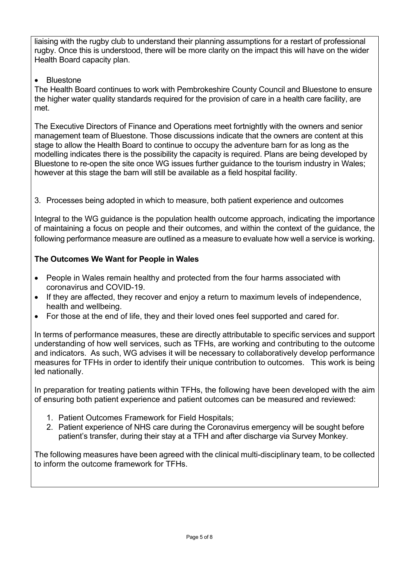liaising with the rugby club to understand their planning assumptions for a restart of professional rugby. Once this is understood, there will be more clarity on the impact this will have on the wider Health Board capacity plan.

#### • Bluestone

The Health Board continues to work with Pembrokeshire County Council and Bluestone to ensure the higher water quality standards required for the provision of care in a health care facility, are met.

The Executive Directors of Finance and Operations meet fortnightly with the owners and senior management team of Bluestone. Those discussions indicate that the owners are content at this stage to allow the Health Board to continue to occupy the adventure barn for as long as the modelling indicates there is the possibility the capacity is required. Plans are being developed by Bluestone to re-open the site once WG issues further guidance to the tourism industry in Wales; however at this stage the barn will still be available as a field hospital facility.

3. Processes being adopted in which to measure, both patient experience and outcomes

Integral to the WG guidance is the population health outcome approach, indicating the importance of maintaining a focus on people and their outcomes, and within the context of the guidance, the following performance measure are outlined as a measure to evaluate how well a service is working.

#### **The Outcomes We Want for People in Wales**

- People in Wales remain healthy and protected from the four harms associated with coronavirus and COVID-19.
- If they are affected, they recover and enjoy a return to maximum levels of independence, health and wellbeing.
- For those at the end of life, they and their loved ones feel supported and cared for.

In terms of performance measures, these are directly attributable to specific services and support understanding of how well services, such as TFHs, are working and contributing to the outcome and indicators. As such, WG advises it will be necessary to collaboratively develop performance measures for TFHs in order to identify their unique contribution to outcomes. This work is being led nationally.

In preparation for treating patients within TFHs, the following have been developed with the aim of ensuring both patient experience and patient outcomes can be measured and reviewed:

- 1. Patient Outcomes Framework for Field Hospitals;
- 2. Patient experience of NHS care during the Coronavirus emergency will be sought before patient's transfer, during their stay at a TFH and after discharge via Survey Monkey.

The following measures have been agreed with the clinical multi-disciplinary team, to be collected to inform the outcome framework for TFHs.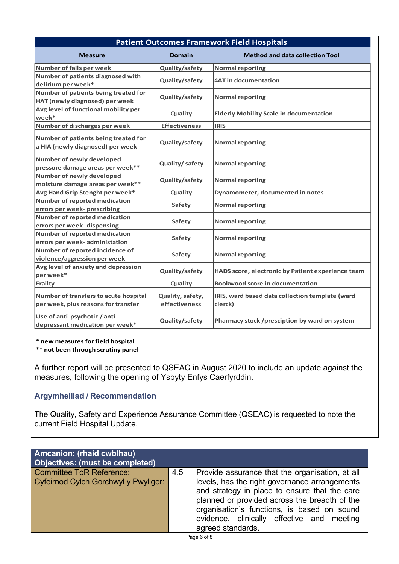| <b>Patient Outcomes Framework Field Hospitals</b>                            |                                   |                                                            |  |  |
|------------------------------------------------------------------------------|-----------------------------------|------------------------------------------------------------|--|--|
| Measure                                                                      | <b>Domain</b>                     | <b>Method and data collection Tool</b>                     |  |  |
| Number of falls per week                                                     | Quality/safety                    | <b>Normal reporting</b>                                    |  |  |
| Number of patients diagnosed with<br>delirium per week*                      | Quality/safety                    | <b>4AT in documentation</b>                                |  |  |
| Number of patients being treated for<br>HAT (newly diagnosed) per week       | Quality/safety                    | <b>Normal reporting</b>                                    |  |  |
| Avg level of functional mobility per<br>week*                                | Quality                           | <b>Elderly Mobility Scale in documentation</b>             |  |  |
| Number of discharges per week                                                | <b>Effectiveness</b>              | <b>IRIS</b>                                                |  |  |
| Number of patients being treated for<br>a HIA (newly diagnosed) per week     | Quality/safety                    | <b>Normal reporting</b>                                    |  |  |
| Number of newly developed<br>pressure damage areas per week**                | Quality/safety                    | <b>Normal reporting</b>                                    |  |  |
| Number of newly developed<br>moisture damage areas per week**                | Quality/safety                    | <b>Normal reporting</b>                                    |  |  |
| Avg Hand Grip Stenght per week*                                              | Quality                           | Dynamometer, documented in notes                           |  |  |
| Number of reported medication<br>errors per week- prescribing                | <b>Safety</b>                     | <b>Normal reporting</b>                                    |  |  |
| Number of reported medication<br>errors per week- dispensing                 | <b>Safety</b>                     | <b>Normal reporting</b>                                    |  |  |
| <b>Number of reported medication</b><br>errors per week- administation       | Safety                            | <b>Normal reporting</b>                                    |  |  |
| Number of reported incidence of<br>violence/aggression per week              | Safety                            | <b>Normal reporting</b>                                    |  |  |
| Avg level of anxiety and depression<br>per week*                             | Quality/safety                    | HADS score, electronic by Patient experience team          |  |  |
| <b>Frailty</b>                                                               | Quality                           | Rookwood score in documentation                            |  |  |
| Number of transfers to acute hospital<br>per week, plus reasons for transfer | Quality, safety,<br>effectiveness | IRIS, ward based data collection template (ward<br>clerck) |  |  |
| Use of anti-psychotic / anti-<br>depressant medication per week*             | Quality/safety                    | Pharmacy stock /presciption by ward on system              |  |  |

**\* new measures for field hospital**

\*\* **not been through scrutiny panel**

A further report will be presented to QSEAC in August 2020 to include an update against the measures, following the opening of Ysbyty Enfys Caerfyrddin.

#### **Argymhelliad / Recommendation**

The Quality, Safety and Experience Assurance Committee (QSEAC) is requested to note the current Field Hospital Update.

| Amcanion: (rhaid cwblhau)<br><b>Objectives: (must be completed)</b>     |     |                                                                                                                                                                                                                                                                                                                      |
|-------------------------------------------------------------------------|-----|----------------------------------------------------------------------------------------------------------------------------------------------------------------------------------------------------------------------------------------------------------------------------------------------------------------------|
| <b>Committee ToR Reference:</b><br>Cyfeirnod Cylch Gorchwyl y Pwyllgor: | 4.5 | Provide assurance that the organisation, at all<br>levels, has the right governance arrangements<br>and strategy in place to ensure that the care<br>planned or provided across the breadth of the<br>organisation's functions, is based on sound<br>evidence, clinically effective and meeting<br>agreed standards. |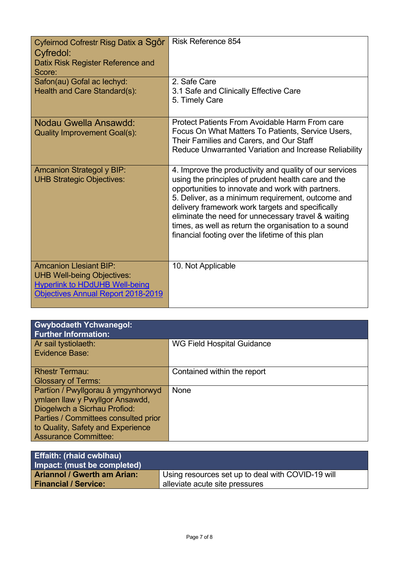| Cyfeirnod Cofrestr Risg Datix a Sgôr<br>Cyfredol:<br>Datix Risk Register Reference and<br>Score:                                                  | <b>Risk Reference 854</b>                                                                                                                                                                                                                                                                                                                                                                                                                       |
|---------------------------------------------------------------------------------------------------------------------------------------------------|-------------------------------------------------------------------------------------------------------------------------------------------------------------------------------------------------------------------------------------------------------------------------------------------------------------------------------------------------------------------------------------------------------------------------------------------------|
| Safon(au) Gofal ac lechyd:<br>Health and Care Standard(s):                                                                                        | 2. Safe Care<br>3.1 Safe and Clinically Effective Care<br>5. Timely Care                                                                                                                                                                                                                                                                                                                                                                        |
| Nodau Gwella Ansawdd:<br><b>Quality Improvement Goal(s):</b>                                                                                      | Protect Patients From Avoidable Harm From care<br>Focus On What Matters To Patients, Service Users,<br>Their Families and Carers, and Our Staff<br>Reduce Unwarranted Variation and Increase Reliability                                                                                                                                                                                                                                        |
| <b>Amcanion Strategol y BIP:</b><br><b>UHB Strategic Objectives:</b>                                                                              | 4. Improve the productivity and quality of our services<br>using the principles of prudent health care and the<br>opportunities to innovate and work with partners.<br>5. Deliver, as a minimum requirement, outcome and<br>delivery framework work targets and specifically<br>eliminate the need for unnecessary travel & waiting<br>times, as well as return the organisation to a sound<br>financial footing over the lifetime of this plan |
| <b>Amcanion Llesiant BIP:</b><br><b>UHB Well-being Objectives:</b><br><b>Hyperlink to HDdUHB Well-being</b><br>Objectives Annual Report 2018-2019 | 10. Not Applicable                                                                                                                                                                                                                                                                                                                                                                                                                              |

| <b>Gwybodaeth Ychwanegol:</b><br><b>Further Information:</b>                                                                                                                                                      |                             |  |
|-------------------------------------------------------------------------------------------------------------------------------------------------------------------------------------------------------------------|-----------------------------|--|
| Ar sail tystiolaeth:<br><b>Evidence Base:</b>                                                                                                                                                                     | WG Field Hospital Guidance  |  |
| <b>Rhestr Termau:</b><br><b>Glossary of Terms:</b>                                                                                                                                                                | Contained within the report |  |
| Partïon / Pwyllgorau â ymgynhorwyd<br>ymlaen llaw y Pwyllgor Ansawdd,<br>Diogelwch a Sicrhau Profiod:<br>Parties / Committees consulted prior<br>to Quality, Safety and Experience<br><b>Assurance Committee:</b> | None                        |  |

| <b>Effaith: (rhaid cwblhau)</b><br>Impact: (must be completed)    |                                                                                     |
|-------------------------------------------------------------------|-------------------------------------------------------------------------------------|
| <b>Ariannol / Gwerth am Arian:</b><br><b>Financial / Service:</b> | Using resources set up to deal with COVID-19 will<br>alleviate acute site pressures |
|                                                                   |                                                                                     |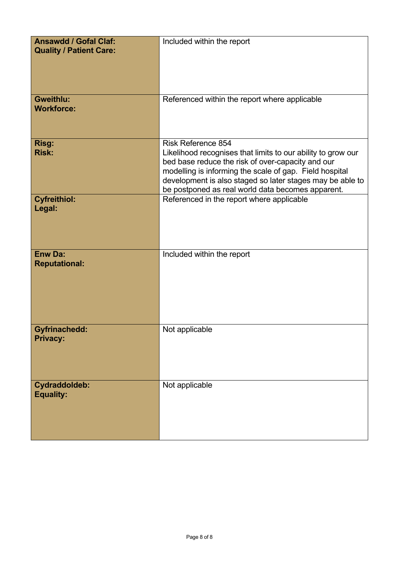| <b>Ansawdd / Gofal Claf:</b><br><b>Quality / Patient Care:</b> | Included within the report                                                                                                                                                                                                                                                                                                  |
|----------------------------------------------------------------|-----------------------------------------------------------------------------------------------------------------------------------------------------------------------------------------------------------------------------------------------------------------------------------------------------------------------------|
| Gweithlu:<br><b>Workforce:</b>                                 | Referenced within the report where applicable                                                                                                                                                                                                                                                                               |
| Risg:<br><b>Risk:</b>                                          | <b>Risk Reference 854</b><br>Likelihood recognises that limits to our ability to grow our<br>bed base reduce the risk of over-capacity and our<br>modelling is informing the scale of gap. Field hospital<br>development is also staged so later stages may be able to<br>be postponed as real world data becomes apparent. |
| <b>Cyfreithiol:</b><br>Legal:                                  | Referenced in the report where applicable                                                                                                                                                                                                                                                                                   |
| <b>Enw Da:</b><br><b>Reputational:</b>                         | Included within the report                                                                                                                                                                                                                                                                                                  |
| <b>Gyfrinachedd:</b><br><b>Privacy:</b>                        | Not applicable                                                                                                                                                                                                                                                                                                              |
| <b>Cydraddoldeb:</b><br><b>Equality:</b>                       | Not applicable                                                                                                                                                                                                                                                                                                              |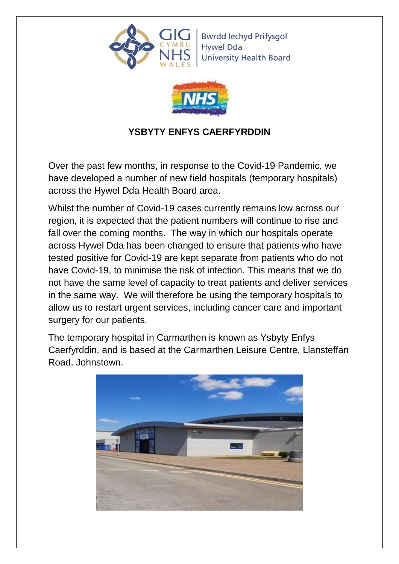<span id="page-9-0"></span>

**Bwrdd lechyd Prifysgol Hywel Dda University Health Board** 



# **YSBYTY ENFYS CAERFYRDDIN**

Over the past few months, in response to the Covid-19 Pandemic, we have developed a number of new field hospitals (temporary hospitals) across the Hywel Dda Health Board area.

Whilst the number of Covid-19 cases currently remains low across our region, it is expected that the patient numbers will continue to rise and fall over the coming months. The way in which our hospitals operate across Hywel Dda has been changed to ensure that patients who have tested positive for Covid-19 are kept separate from patients who do not have Covid-19, to minimise the risk of infection. This means that we do not have the same level of capacity to treat patients and deliver services in the same way. We will therefore be using the temporary hospitals to allow us to restart urgent services, including cancer care and important surgery for our patients.

The temporary hospital in Carmarthen is known as Ysbyty Enfys Caerfyrddin, and is based at the Carmarthen Leisure Centre, Llansteffan Road, Johnstown.

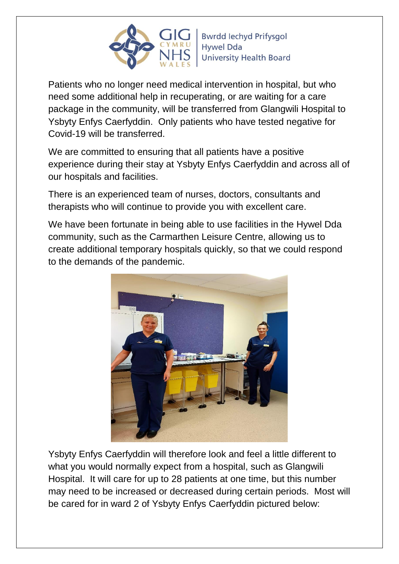

Patients who no longer need medical intervention in hospital, but who need some additional help in recuperating, or are waiting for a care package in the community, will be transferred from Glangwili Hospital to Ysbyty Enfys Caerfyddin. Only patients who have tested negative for Covid-19 will be transferred.

We are committed to ensuring that all patients have a positive experience during their stay at Ysbyty Enfys Caerfyddin and across all of our hospitals and facilities.

There is an experienced team of nurses, doctors, consultants and therapists who will continue to provide you with excellent care.

We have been fortunate in being able to use facilities in the Hywel Dda community, such as the Carmarthen Leisure Centre, allowing us to create additional temporary hospitals quickly, so that we could respond to the demands of the pandemic.



Ysbyty Enfys Caerfyddin will therefore look and feel a little different to what you would normally expect from a hospital, such as Glangwili Hospital. It will care for up to 28 patients at one time, but this number may need to be increased or decreased during certain periods. Most will be cared for in ward 2 of Ysbyty Enfys Caerfyddin pictured below: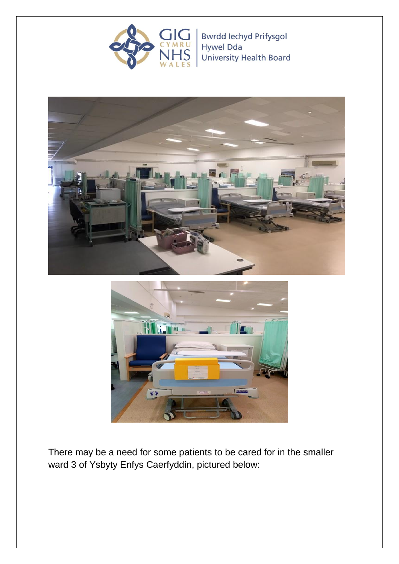

Bwrdd Iechyd Prifysgol **Hywel Dda** University Health Board





There may be a need for some patients to be cared for in the smaller ward 3 of Ysbyty Enfys Caerfyddin, pictured below: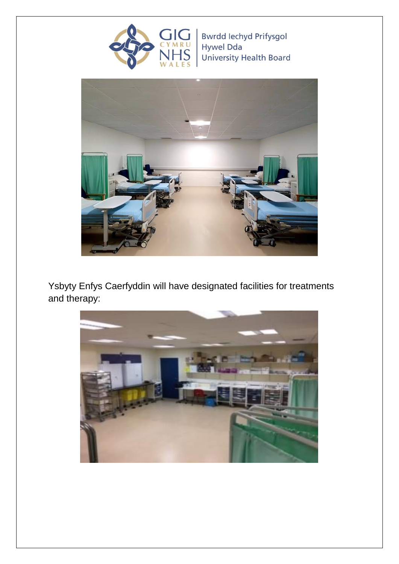

Bwrdd Iechyd Prifysgol<br>Hywel Dda University Health Board



Ysbyty Enfys Caerfyddin will have designated facilities for treatments and therapy:

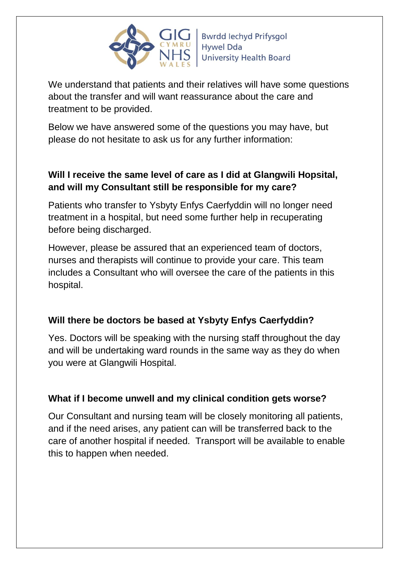

We understand that patients and their relatives will have some questions about the transfer and will want reassurance about the care and treatment to be provided.

Below we have answered some of the questions you may have, but please do not hesitate to ask us for any further information:

## **Will I receive the same level of care as I did at Glangwili Hopsital, and will my Consultant still be responsible for my care?**

Patients who transfer to Ysbyty Enfys Caerfyddin will no longer need treatment in a hospital, but need some further help in recuperating before being discharged.

However, please be assured that an experienced team of doctors, nurses and therapists will continue to provide your care. This team includes a Consultant who will oversee the care of the patients in this hospital.

## **Will there be doctors be based at Ysbyty Enfys Caerfyddin?**

Yes. Doctors will be speaking with the nursing staff throughout the day and will be undertaking ward rounds in the same way as they do when you were at Glangwili Hospital.

#### **What if I become unwell and my clinical condition gets worse?**

Our Consultant and nursing team will be closely monitoring all patients, and if the need arises, any patient can will be transferred back to the care of another hospital if needed. Transport will be available to enable this to happen when needed.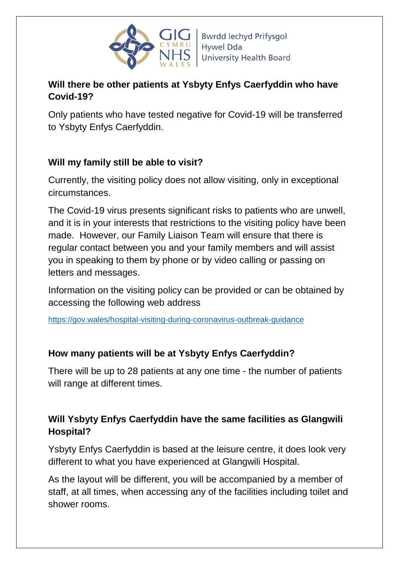

### **Will there be other patients at Ysbyty Enfys Caerfyddin who have Covid-19?**

Only patients who have tested negative for Covid-19 will be transferred to Ysbyty Enfys Caerfyddin.

### **Will my family still be able to visit?**

Currently, the visiting policy does not allow visiting, only in exceptional circumstances.

The Covid-19 virus presents significant risks to patients who are unwell, and it is in your interests that restrictions to the visiting policy have been made. However, our Family Liaison Team will ensure that there is regular contact between you and your family members and will assist you in speaking to them by phone or by video calling or passing on letters and messages.

Information on the visiting policy can be provided or can be obtained by accessing the following web address

https://gov.wales/hospital-visiting-during-coronavirus-outbreak-guidance

#### **How many patients will be at Ysbyty Enfys Caerfyddin?**

There will be up to 28 patients at any one time - the number of patients will range at different times.

### **Will Ysbyty Enfys Caerfyddin have the same facilities as Glangwili Hospital?**

Ysbyty Enfys Caerfyddin is based at the leisure centre, it does look very different to what you have experienced at Glangwili Hospital.

As the layout will be different, you will be accompanied by a member of staff, at all times, when accessing any of the facilities including toilet and shower rooms.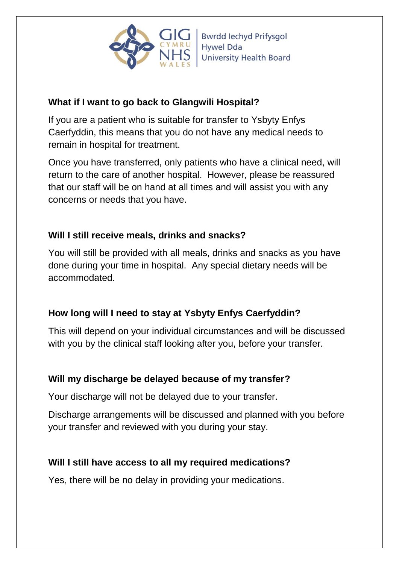

### **What if I want to go back to Glangwili Hospital?**

If you are a patient who is suitable for transfer to Ysbyty Enfys Caerfyddin, this means that you do not have any medical needs to remain in hospital for treatment.

Once you have transferred, only patients who have a clinical need, will return to the care of another hospital. However, please be reassured that our staff will be on hand at all times and will assist you with any concerns or needs that you have.

## **Will I still receive meals, drinks and snacks?**

You will still be provided with all meals, drinks and snacks as you have done during your time in hospital. Any special dietary needs will be accommodated.

# **How long will I need to stay at Ysbyty Enfys Caerfyddin?**

This will depend on your individual circumstances and will be discussed with you by the clinical staff looking after you, before your transfer.

## **Will my discharge be delayed because of my transfer?**

Your discharge will not be delayed due to your transfer.

Discharge arrangements will be discussed and planned with you before your transfer and reviewed with you during your stay.

## **Will I still have access to all my required medications?**

Yes, there will be no delay in providing your medications.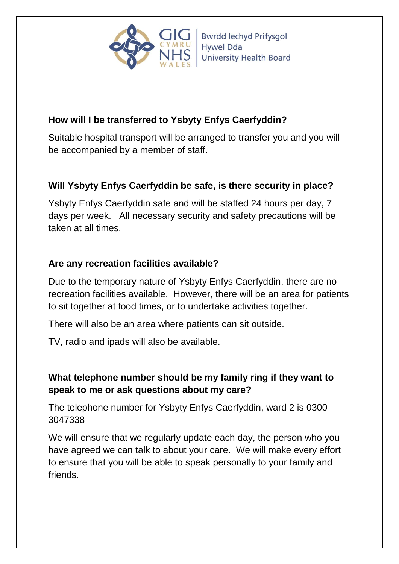

**Bwrdd lechyd Prifysgol Hywel Dda University Health Board** 

## **How will I be transferred to Ysbyty Enfys Caerfyddin?**

Suitable hospital transport will be arranged to transfer you and you will be accompanied by a member of staff.

# **Will Ysbyty Enfys Caerfyddin be safe, is there security in place?**

Ysbyty Enfys Caerfyddin safe and will be staffed 24 hours per day, 7 days per week. All necessary security and safety precautions will be taken at all times.

## **Are any recreation facilities available?**

Due to the temporary nature of Ysbyty Enfys Caerfyddin, there are no recreation facilities available. However, there will be an area for patients to sit together at food times, or to undertake activities together.

There will also be an area where patients can sit outside.

TV, radio and ipads will also be available.

# **What telephone number should be my family ring if they want to speak to me or ask questions about my care?**

The telephone number for Ysbyty Enfys Caerfyddin, ward 2 is 0300 3047338

We will ensure that we regularly update each day, the person who you have agreed we can talk to about your care. We will make every effort to ensure that you will be able to speak personally to your family and friends.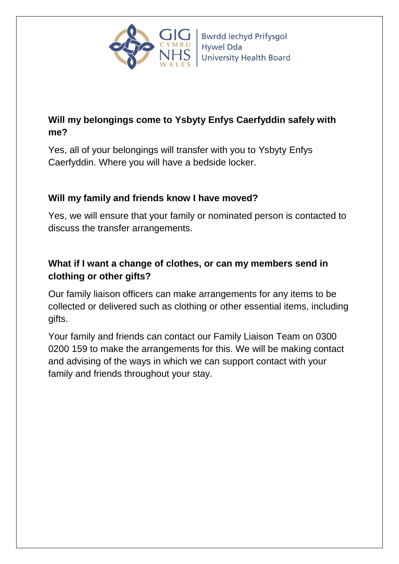

# **Will my belongings come to Ysbyty Enfys Caerfyddin safely with me?**

Yes, all of your belongings will transfer with you to Ysbyty Enfys Caerfyddin. Where you will have a bedside locker.

### **Will my family and friends know I have moved?**

Yes, we will ensure that your family or nominated person is contacted to discuss the transfer arrangements.

## **What if I want a change of clothes, or can my members send in clothing or other gifts?**

Our family liaison officers can make arrangements for any items to be collected or delivered such as clothing or other essential items, including gifts.

Your family and friends can contact our Family Liaison Team on 0300 0200 159 to make the arrangements for this. We will be making contact and advising of the ways in which we can support contact with your family and friends throughout your stay.